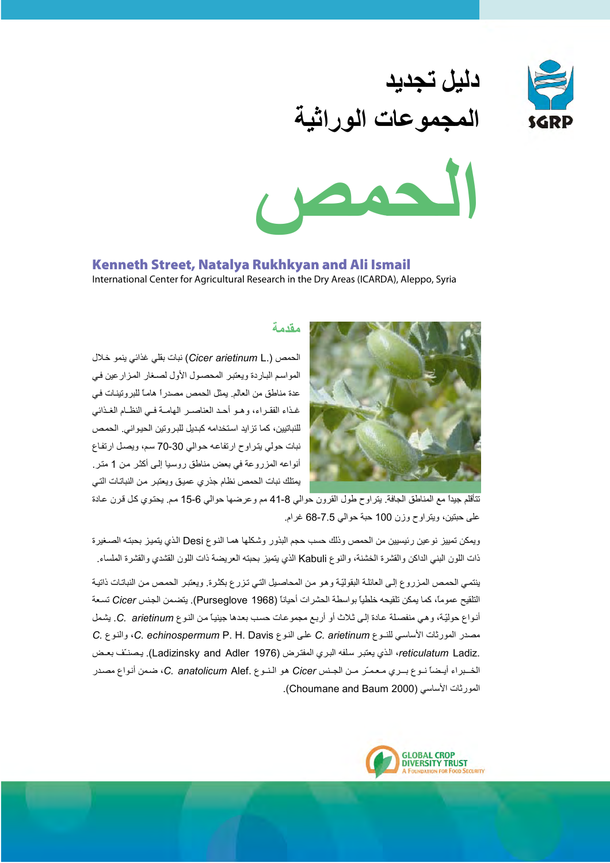

# دليل تجديد المجموعات الوراثية



# Kenneth Street, Natalya Rukhkyan and Ali Ismail

International Center for Agricultural Research in the Dry Areas (ICARDA), Aleppo, Syria



## مقدمة

الحمص (.Cicer arietinum L) نبات بقلي غذائي ينمو خلال المواسم الباردة ويعتبر المحصول الأول لصغار المزارعين في عدة مناطق من العالم. يمثل الحمص مصدراً هاماً للبروتينات في غذاء الفقير اء، و هيو أحيد العناصير المهامية في النظيام الغيذائي للنباتيين، كما تزايد استخدامه كبديل للبروتين الحيواني. الحمص نبات حولي يتراوح ارتفاعه حوالي 30-70 سم، ويصل ارتفاع أنواعه المزروعة في بعض مناطق روسيا إلى أكثر من 1 متر. يمتلك نبات الحمص نظام جذرى عميق ويعتبر من النباتات التي

تتأقلم جيداً مع المناطق الجافة. يتراوح طول القرون حوالي 8-41 مم وعرضها حوالي 6-15 مم. يحتوي كل قرن عادة على حبتين، ويتراوح وزن 100 حبة حوالي 7.5-68 غرام.

ويمكن تمييز نوعين رئيسيين من الحمص وذلك حسب حجم البذور وشكلها هما الذوع Desi الذي يتميز بحبته الصـغيرة ذات اللون البني الداكن والقشرة الخشنة، والنوع Kabuli الذي يتميز بحبته العريضة ذات اللون القشدى والقشرة الملساء

ينتمي الحمص المزروع إلى العائلة البقوليّة وهو من المحاصيل التي تزرع بكثرة. ويعتبر الحمص من النباتات ذاتية التلقيح عموماً، كما يمكن تلقيحه خلطياً بواسطة الحشرات أحياناً (Purseglove 1968). يتضمن الجنس Cicer تسعة أنواع حوليّة، وهي منفصلة عادة إلى ثلاث أو أربع مجموعات حسب بعدها جينياً من النوع C. arietinum. يشمل مصدر المورثات الأساسي للنـوع C. arietinum على النوع C. echinospermum P. H. Davis، والنوع C. echinospermum P. H .reticulatum Ladiz، الذي يعتبر سلفه البري المفترض (Ladizinsky and Adler 1976). يصنـف بعـض الخبراء أيضاً نوع بري معمرٌ من الجنس Cicer هو النوع .C. anatolicum Alef ، ضمن أنواع مصدر المورثات الأساسي (Choumane and Baum 2000).

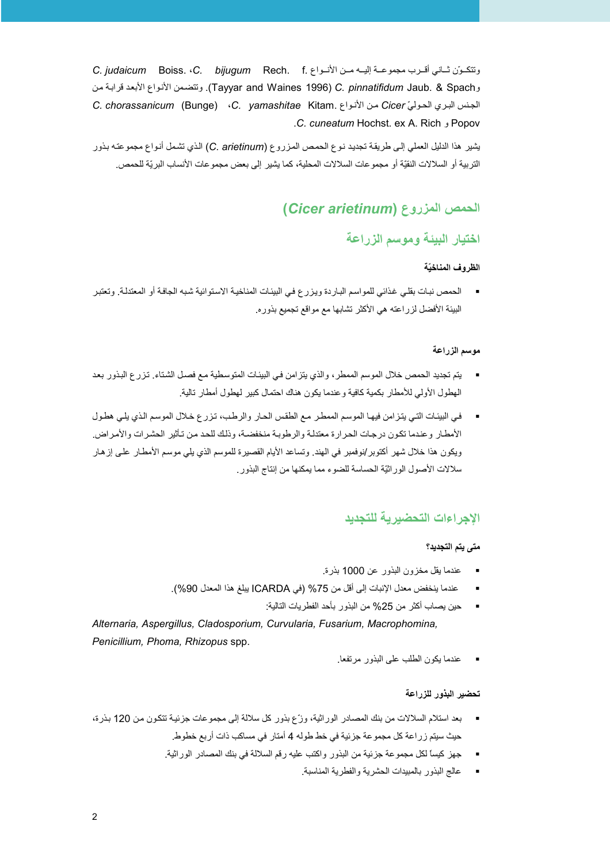وتتكوّن ثباني أقـرب مجموعـة إليـه مـن الأنـواع .C. judaicum Boiss. ‹C. bijugum Rech. f وTavvar and Waines 1996) C. *pinnatifidum* Jaub. & Spach. وتتضمن الأنواع الأبعد قرابة من الجنس البري الحوليّ Cicer من الأنواع .C. chorassanicum (Bunge) ،C. yamashitae Kitam. كان المحوليّ C. chorassanicum Popov و C. cuneatum Hochst. ex A. Rich.

يشير هذا الدليل العملي إلى طريقة تجديد نوع الحمص المزروع (C. arietinum) الذي تشمل أنواع مجموعته بذور التربية أو السلالات النقيّة أو مجموعات السلالات المحلية، كما يشير إلى بعض مجموعات الأنساب البريّة للحمص.

# الحمص المزروع (Cicer arietinum)

# اختيار البيئة وموسم الزراعة

#### الظ وف المناخيّة

▪ الحمص نبات بقلي غذائي للمواسم الباردة ويزرع في البيئات المناخية الاستوائية شبه الجافة أو المعتدلة. وتعتبر البيئة الأفضل لزراعته هي الأكثر تشابها مع مواقع تجميع بذوره.

#### موسم الزراعة

- يتم تجديد الحمص خلال الموسم الممطر ، والذي يتزامن في البيئات المتوسطية مـع فصـل الشتاء. تـزر ع البذور بعد الهطول الأولى للأمطار بكمية كافية وعندما يكون هناك احتمال كبير لهطول أمطار تالية
- في البيئات التي يتزامن فيها الموسم الممطر مع الطقس الحار والرطب، تزرع خلال الموسم الذي يلي هطول الأمطار وعندما تكون درجات الحرارة معتدلة والرطوبة منخفضة، وذلك للحد من تأثير الحشرات والأمراض. ويكون هذا خلال شهر أكتوبر/نوفمبر في الهند. وتساعد الأيام القصيرة للموسم الذي يلي موسم الأمطـار علـى إز هـار سلالات الأصول الوراثيَّة الحساسة للضوء مما يمكنها من إنتاج البذور .

# الاحر اءات التحضير بة للتحديد

#### متى بتم التجديد؟

- عندما يقل مخزون البذور عن 1000 بذرة.
- عندما ينخفض معدل الإنبات إلى أقل من 75% (في ICARDA يبلغ هذا المعدل 90%).
	- حين يصاب أكثر من 25% من البذور بأحد الفطريات التالية:

Alternaria, Aspergillus, Cladosporium, Curvularia, Fusarium, Macrophomina, Penicillium, Phoma, Rhizopus spp.

عندما بكون الطلب على البذور مرتفعا

#### تحضير البذور للزراعة

- بعد استلام السلالات من بنك المصـادر الوراثية، وزّع بذور كل سلالة إلى مجموعات جزئيـة تتكون من 120 بـذرة، حيث سيتم زراعة كل مجموعة جزئية في خط طوله 4 أمتار في مساكب ذات أربع خطوط.
	- حهز كيساً لكل مجموعة جزئية من البذور واكتب عليه رقم السلالة في بنك المصادر الوراثية.
		- عالج البذو ر بالمبيدات الحشر بـة و الفطر بـة المناسبـة ِ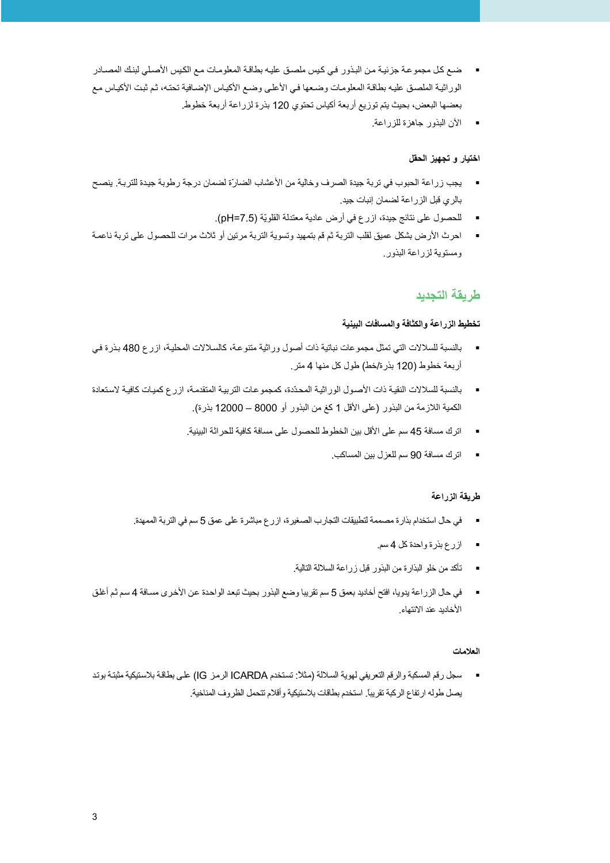- ضع كل مجموعة جزئية من البذور في كيس ملصق عليه بطاقة المعلومات مع الكيس الأصلي لبنك المصـادر الوراثية الملصق عليه بطاقة المعلومات وضعها فييالأعلى وضع الأكياس الإضافية تحته، ثم ثبت الأكياس مع بعضها البعض، بحيث يتم توزيع أربعة أكياس تحتوي 120 بذرة لزراعة أربعة خطوط.
	- الآن البذور جاهزة للزراعة.

#### اختبار و تجهيز الحقل

- \_ يجب زراعة الحبوب في تربة جيدة الصرف وخالية من الأعشاب الضارّة لضمان درجة رطوبة جيدة للتربة. ينصح بالري قبل الزراعة لضمان إنبات جيد.
	- للحصول على نتائج جيدة، ازرع في أرض عادية معتدلة القلويّة (pH=7.5).
- احرث الأرض بشكل عميق لقلب التربة ثم قم بتمهيد وتسوية التربة مرتين أو ثلاث مرات للحصول على تربة ناعمة ومستوية لزراعة البذور

# طر بقة التحدبد

#### تخطيط الزراعة والكثافة والمسافات البينية

- بالنسبة للسلالات التي تمثِّل مجموعات نباتية ذات أصول وراثية متنوعة، كالسلالات المحلية، از رع 480 بذرة في أربعة خطوط (120 بذرة/خط) طول كل منها 4 متر
- بالنسبة للسلالات النقية ذات الأصبول الور اثية المحدّدة، كمجمو عات التربية المتقدمة، از رع كميات كافية لاستعادة الكمية اللازمة من البذور (على الأقل 1 كغ من البذور أو 8000 – 12000 بذرة).
	- اتر ك مسافة 45 سم على الأقل بين الخطوط للحصول على مسافة كافية للحر اثة البينية.
		- اترك مسافة 90 سم للعزل بين المساكب.

#### طريقة الزراعة

- في حال استخدام بذار ة مصممة لتطبيقات التجارب الصغيرة، از رع مباشر ة على عمق 5 سم في التربة الممهدة. ·
	- ازرع بذرة واحدة كل 4 سم
	- تأكد من خلو البذارة من البذور قبل زراعة السلالة التالية.
- في حال الزراعة يدويا، افتح أخانيد بعمق 5 سم تقريبا وضع البذور بحيث تبعد الواحدة عن الأخرى مسافة 4 سم ثم أغلق الأخاديد عند الانتهاء.

#### العلامات

■ سجل رقم المسكبة والرقم التعريفي لهوية السلالة (مثلا: تستخدم ICARDA الرمز IG) على بطاقة بلاستيكية مثبتة بوتد يصل طوله ارتفاع الركبة تقريباً. استخدم بطاقات بلاستيكية وأقلام تتحمل الظروف المناخية.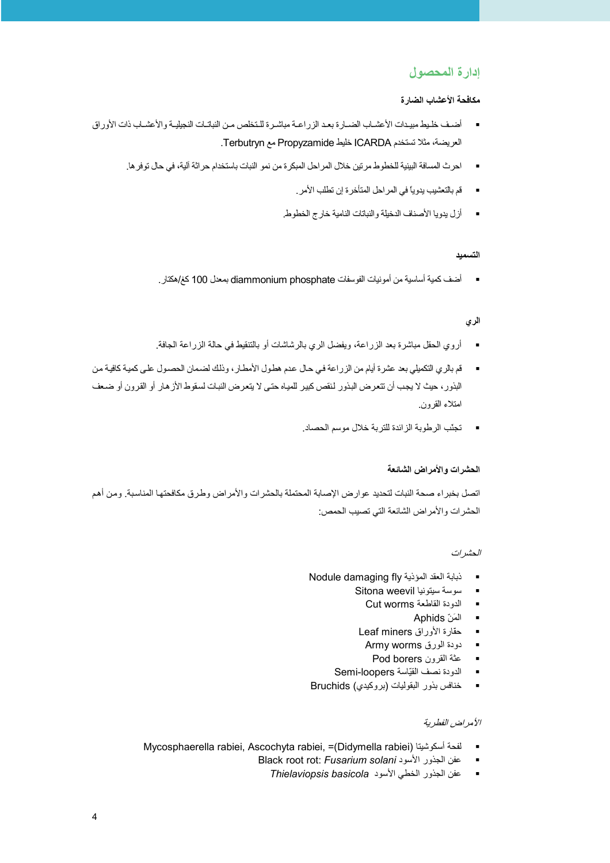# إدارة المحصول

#### مكافحة الأعشاب الضارة

- أضيف خليط مبيدات الأعشياب الضبارة بعد الزراعية مباشيرة للتخلص من النباتيات النجيليية والأعشياب ذات الأوراق العريضة، مثلا تستخدم ICARDA خليط Propyzamide مع Terbutryn.
	- احر ث المسافة البينية للخطو ط مر تين خلال المر احل المبكر ة من نمو النبات باستخدام حر اثة آلية، في حال تو فر ها.
		-
		- أزل يدويا الأصناف الدخيلة والنباتات النامية خارج الخطوط.

#### التسميد

■ أضف كمية أساسية من أمونيات الفوسفات diammonium phosphate بمعنل 100 كغ/هكتار .

#### المرى

- أروى الحقل مباشرة بعد الزراعة، ويفضل الري بالرشاشات أو بالتنقيط في حالة الزراعة الجافة.
- قم بالري التكميلي بعد عشرة أيام من الزراعة في حال عدم هطول الأمطار ، ونلك لضمان الحصول على كمية كافية من  $\mathcal{L}_{\mathbf{z}}$ البذور، حيث لا يجب أن تتعرض البذور لنقص كبير للمياه حتى لا يتعرض النبات لسقوط الأز هار أو القرون أو ضعف امتلاء القرون.
	- تجنّب الرطوبة الزائدة للتربة خلال موسم الحصاد.

#### الحشر ات و الأمر اض الشائعة

اتصل بخبر اء صحة النبات لتحديد عو ار ض الإصابة المحتملة بالحشر ات و الأمر اض وطر ق مكافحتها المناسبة. و من أهم الحشر ات و الأمر اض الشائعة التي تصبيب الحمص:

#### الحشر ات

- Nodule damaging fly ذبابة العقد المؤذية  $\mathbf{r}$ 
	- سوسة سيتونيا Sitona weevil  $\blacksquare$ 
		- الدودة القاطعة Cut worms  $\blacksquare$ 
			- المَنّ Aphids  $\blacksquare$
	- حفّارة الأوراق Leaf miners  $\blacksquare$ 
		- دودة الورق Army worms  $\blacksquare$
		- عثة القرون Pod borers  $\blacksquare$
	- الدودة نصف القيّاسة Semi-loopers  $\blacksquare$
- خنافس بذور البقوليات (بروكيدي) Bruchids  $\mathcal{L}_{\mathbf{z}}$

#### الأمراض الفطرية

- Mycosphaerella rabiei, Ascochyta rabiei, =(Didymella rabiei) لفحة أسكوشيتا  $\sim$ 
	- Black root rot: Fusarium solani عفن الجذور الأسود
		- عفن الجذور الخطي الأسود Thielaviopsis basicola  $\blacksquare$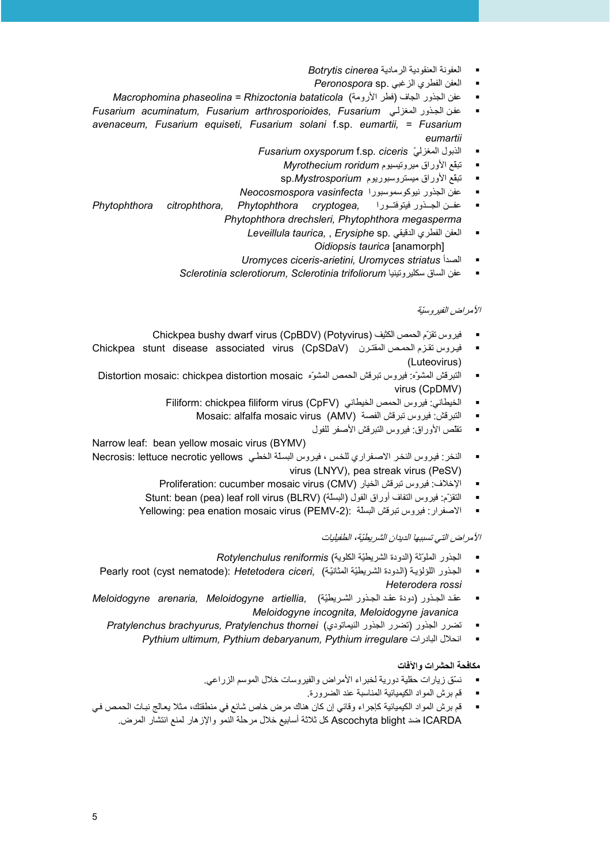- العفونة العنقودية الرمادية Botrytis cinerea
- العفن الفطري الزغبي .Peronospora sp
- عفن الجذور الجاف (فطر الأرومة) Macrophomina phaseolina = Rhizoctonia bataticola
- عفن الجذور المغزلي Fusarium acuminatum. Fusarium arthrosporioides. Fusarium  $\blacksquare$ avenaceum, Fusarium equiseti, Fusarium solani f.sp. eumartii, = Fusarium eumartii
	- Fusarium oxysporum f.sp. ciceris ألذبول المغزليّ  $\blacksquare$ 
		- تبقع الأوراق ميرونيسيوم Myrothecium roridum
		- تبقع الأوراق ميستروسبوريوم sp.Mystrosporium
	- عفن الجذور نيوكوسموسبورا Neocosmospora vasinfecta  $\blacksquare$ Phytophthora cryptogea, عفــن الجــذور فيتوفتــورا
- Phytophthora citrophthora, Phytophthora drechsleri, Phytophthora megasperma
	- Leveillula taurica, , Erysiphe sp. المعفن الفطري الدقيقي Oidiopsis taurica [anamorph]
	- Uromyces ciceris-arietini, Uromyces striatus الصدأ
	- عفن الساق سكليروتينيا Sclerotinia sclerotiorum, Sclerotinia trifoliorum

#### الأمر اض الفدر وستة

- Ehickpea bushy dwarf virus (CpBDV) (Potyvirus) فيروس تقرّم الحمص الكثيف
- Chickpea stunt disease associated virus (CpSDaV) فيروس تقزم الحمص المقترن (Chickpea stunt disease associated virus (Luteovirus)
- النبر قش المشوِّه: فيروس نبر قش الحمص المشوِّه Distortion mosaic: chickpea distortion mosaic  $\blacksquare$ virus (CpDMV)
	- الخيطاني: فيروس الحمص الخيطاني (Filiform: chickpea filiform virus (CpFV
		- النبر فش: فيروس نبر فش الفصة Mosaic: alfalfa mosaic virus (AMV)
			- نقلص الأوراق: فيروس التبرقش الأصفر للفول

Narrow leaf: bean yellow mosaic virus (BYMV)

- النخر : فيروس النخر الإصغراري للخس ، فيروس البسلة الخطي Necrosis: lettuce necrotic vellows virus (LNYV), pea streak virus (PeSV)
	- الإخلاف: فيروس تبرقش الخيار (CMV) Proliferation: cucumber mosaic virus
	- التقزّم: فيروس التفاف أوراق الفول (البسلة) Stunt: bean (pea) leaf roll virus (BLRV)
	- Yellowing: pea enation mosaic virus (PEMV-2): الاصفرار: فيروس نبريش البسلة Yellowing: pea enation mosaic virus  $\blacksquare$

#### الأمر اض التي تسببها الديدان الشر بطبّة، الطفيليات

- الجذور الملوّثة (الدودة الشريطيّة الكلوية) Rotvlenchulus reniformis
- Pearly root (cyst nematode): Hetetodera ciceri, (الدودة الشريطيّة المثانيّة Pearly root (cyst nematode): Hetetodera ciceri,  $\blacksquare$ Heterodera rossi
- عقد الجذور (دودة عقد الجذور الشريطيّة) Meloidogyne arenaria, Meloidogyne artiellia, × Meloidogyne incognita, Meloidogyne javanica
	- تضرر الجذور (تضرر الجذور النيماتودي) Pratylenchus brachyurus, Pratylenchus thornei
		- Pythium ultimum. Pythium debarvanum. Pythium irregulare انحلال البادر ات

#### مكافحة الحشرات والآفات

- نسَّق زيار ات حقلية دورية لخبر اء الأمر اض والفير وسات خلال الموسم الز راعي.
	- قم بر ش المواد الكبمبائية المناسبة عند الضرورة.
- قم برش المواد الكيميائية كإجراء وقائي إن كان هناك مرض خاص شائع في منطقتك، مثلا يعالج نبات الحمص في ICARDA ضد Ascochyta blight كل ثلاثة أسابيع خلال مرحلة النمو والإزهار لمنع انتشار المرض.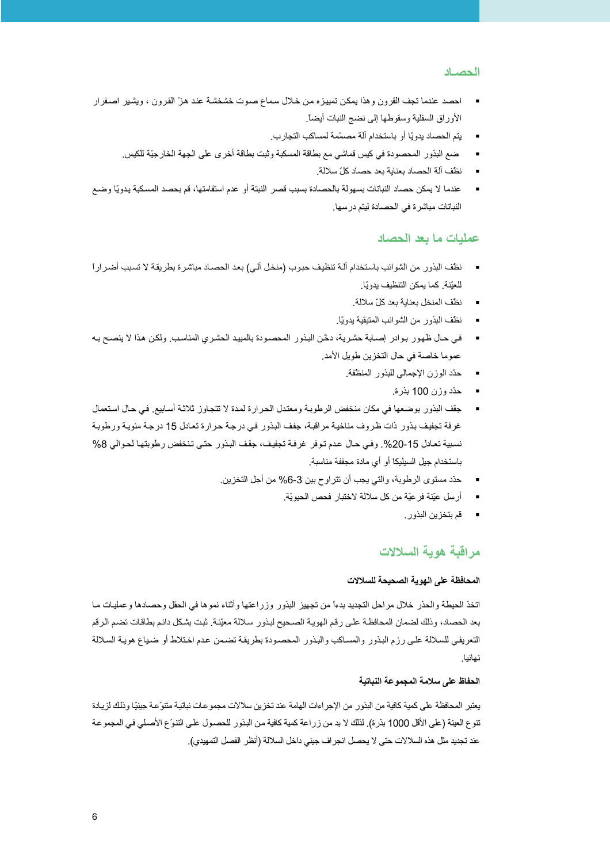#### الحصياد

- احصد عندما تجف القرون وهذا يمكن تمييزه من خلال سماع صوت خشخشـة عند هزّ القرون ، ويشير اصـفرار الأور اق السفلية وسقوطها إلى نضج النبات أيضاً.
	- يتم الحصباد يدويًا أو باستخدام آلة مصمّمة لمساكب التجار ب.
	- ضع البذور المحصودة في كبس قماشي مع بطاقة المسكبة وثبت بطاقة أخرى على الجهة الخار جيّة للكبس.
		- نظَّف ألَّة الحصاد بعناية بعد حصاد كلِّ سلالة.
- عندما لا يمكن حصاد النباتات بسهولة بالحصادة بسبب قصر النبتة أو عدم استقامتها، قم بحصد المسكبة يدويًا وضـع النباتات مباشر ة في الحصادة لبِتم در سها.

#### عمليات ما بعد الحصاد

- نظف البذور من الشوائب باستخدام آلــة تنظيف حبوب (منخل آلـي) بعد الحصــاد مباشرة بطريقـة لا تسبب أضـرار ًا للعيّنة. كما يمكن التنظيف يدويّا.
	- نظف المنخل بعناية بعد كلّ سلالة.
	- نظّف البذور من الشوائب المتبقية يدويّا.
- في حال ظهور بوادر إصابة حشرية، دخّن البذور المحصودة بالمبيد الحشري المناسب. ولكن هذا لا ينصح بـه عموما خاصة في حال التخزين طويل الأمد.
	- حدّد الوزن الإجمالي للبذور المنظفة.
		- حدّد وزن 100 بذرة.
- جقّف البذور بوضعها في مكان منخفض الرطوبة ومعندل الحرارة لمدة لا تتجاوز ثلاثة أسابيع. في حال استعمال غرفة تجفيف بذور ذات ظروف مناخية مراقبة، جفف البذور في درجة حرارة تعادل 15 درجة مئوية ورطوبة نسبية تعادل 15-20%. وفي حال عدم توفر غرفة تجفيف، جقف البذور حتى تنخفض رطوبتها لحوالي 8% باستخدام جيل السيليكا أو أي مادة مجففة مناسبة.
	- حدّد مستوى الرطوبة، والتي يجب أن تتراوح بين 3-6% من أجل التخزين.
		- أرسل عيّنة فرعيّة من كل سلالة لاختبار فحص الحيويّة.
			- \_ قم بتخز بن البذو ر

## مراقبة هوية السلالات

#### المحافظة على الهوية الصحيحة للسلالات

اتخذ الحيطة والحذر خلال مراحل التجديد بدءاً من تجهيز البذور وزراعتها وأثناء نموها في الحقل وحصادها وعمليات ما بعد الحصاد، وذلك لضمان المحافظة على رقم الهويـة الصـحيح لبذور سلالة معيّنة. ثبت بشكل دائم بطاقات تضم الرقم التعريفي للسلالة على رزم البذور والمساكب والبذور المحصودة بطريقة تضمن عدم اختلاط أو ضباع هوية السلالة نهائدا

#### الحفاظ على سلامة المجموعة النباتية

يعتبر المحافظة على كمية كافية من البذور من الإجر اءات الهامة عند تخز بن سلالات مجمو عات نباتية متنوّعة جينيًا وذلك لز يادة تتوع العينة (على الأقل 1000 بنرة). لذلك لا بد من زراعة كمية كافية من البنور للحصول على التتوّع الأصلي في المجموعة عند تجديد مثّل هذه السلالات حتى لا يحصل انجر اف جيني داخل السلالة (أنظر الفصل التمهيدي).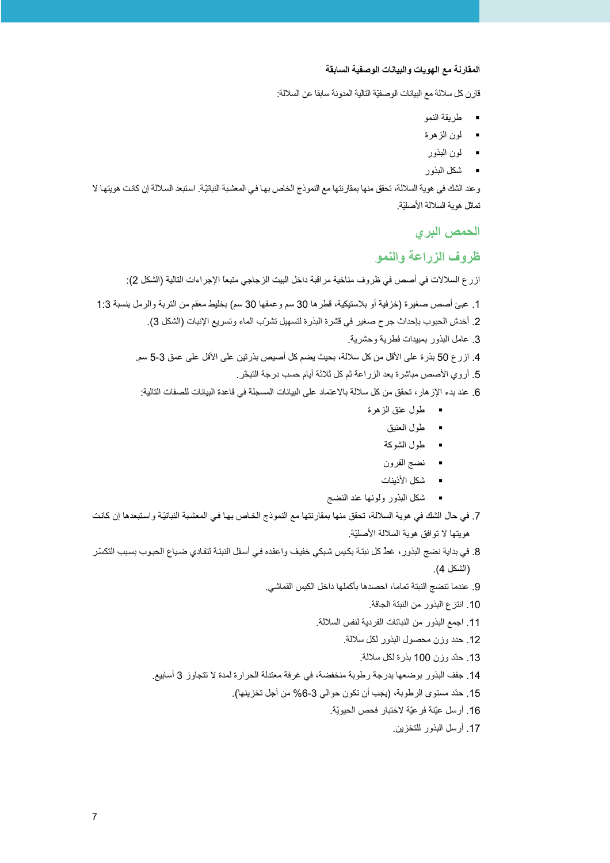#### المقارنة مع الهويات والبيانات الوصفية السابقة

قارن كل سلالة مع البيانات الوصفيّة التالية المدونة سابقا عن السلالة:

- طريقة النمو
- لون الزهرة
- لون البذور
- شكل البذور

وعند الشك في هوية السلالة، تحقق منها بمقارنتها مع النموذج الخاص بها في المعشبة النباتيّة. استبعد السلالة إن كانت هويتها لا تماثل هوية السلالة الأصليّة.

الحمص البرى

# ظروف الزراعة والنمو

ازرع السلالات في أصص في ظروف مناخية مراقبة داخل البيت الزجاجي متبعًا الإجراءات التالية (الشكل 2):

1. عبئ أصص صغيرة (خزفية أو بلاستيكية، قطرها 30 سم وعمقها 30 سم) بخليط معقم من التربة والرمل بنسبة 1:3

2. أخدش الحبوب بإحداث جرح صغير في قشرة البذرة لتسهيل تشرّب الماء وتسريع الإنبات (الشكل 3).

3. عامل البذور بمبيدات فطرية وحشرية.

4. ازر ع 50 بذرة على الأقل من كل سلالة، بحيث يضم كل أصبص بذرتين على الأقل على عمق 3-5 سم.

5. أروي الأصص مباشرة بعد الزراعة ثم كل ثلاثة أيام حسب درجة التبخّر.

6. عند بدء الإز هار ، تحقق من كل سلالة بالاعتماد على البيانات المسجلة في قاعدة البيانات للصفات التالية:

- طول عنق الزهرة
	- طول العنيق
	- طول الشوكة
	- نضج القرون
	- شكل الأذينات
- شكل البذور ولونها عند النضج

7. في حال الشك في هوية السلالة، تحقق منها بمقارنتها مع النموذج الخاص بها في المعشبة النباتيّة واستبعدها إن كانت هويتها لا توافق هوية السلالة الأصليّة.

- 8. في بداية نضج البذور ، غطٌ كل نبتـة بكيس شبكي خفيف واعقده فـي أسفل النبتـة لتفـادي ضـياع الحبـوب بسبب التكسّر (الشكل 4).
	- 9. عندما تنضج النبنة تماما، احصدها بأكملها داخل الكيس القماشي.
		- 10. انتزع البذور من النبتة الجافة.
		- 11. اجمع البذور من النباتات الفردية لنفس السلالة.
			- 12. حدد وزن محصول البذور لكل سلالة
				- 13. حدّد وزن 100 بذرة لكل سلالة.
	- 14. جفف البذور بوضعها بدرجة رطوبة منخفضة، في غرفة معتدلة الحرارة لمدة لا تتجاوز 3 أسابيع.
		- 15. حدّد مستوى الرطوبة، (يجب أن تكون حوالي 3-6% من أجل تخزينها).
			- 16. أرسل عيّنة فرعيّة لاختبار فحص الحيويّة.
				- 17. أرسل البذور للتخزين.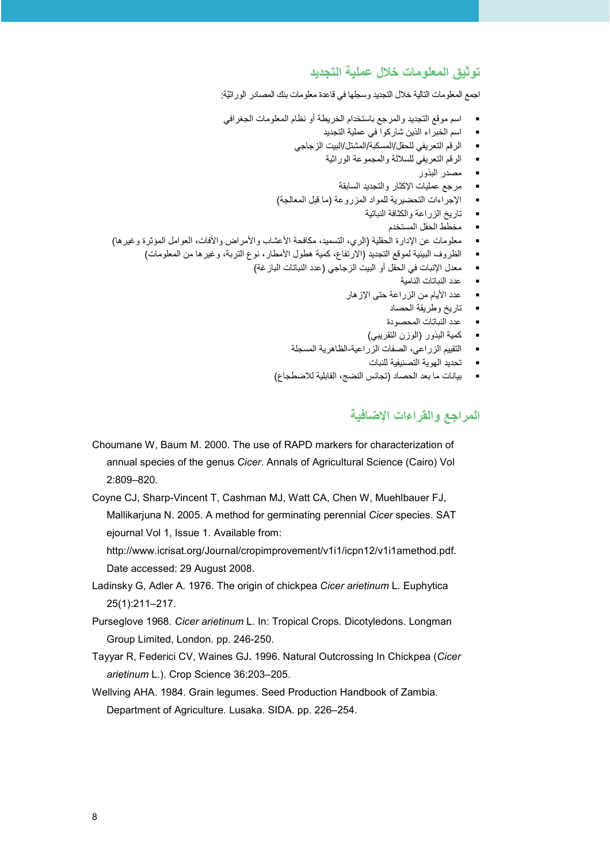## تو ثبق المعلو مات خلال عملية التحديد

اجمع المعلومات التالية خلال التجديد وسجلها في قاعدة معلومات بنك المصادر الور اثيّة:

- اسم موقع التجديد والمرجع باستخدام الخريطة أو نظام المعلومات الجغرافي
	- اسم الخبراء الذين شاركوا في عملية التجديد
	- الرقم التعريفي للحقل/المسكبة/المشتل/البيت الزجاجي  $\blacksquare$ 
		- الرقم النعريفي للسلالة والمجموعة الوراثية  $\mathbf{r}$ 
			- مصدر البذور
			- مرجع عمليات الإكثار والتجديد السابقة
	- الإجراءات التحضيرية للمواد المزروعة (ما قبل المعالجة)
		- تاريخ الزراعة والكثافة النباتية ٠.
			- مخطط الحقل المستخدم
- معلومات عن الإدارة الحقلية (الري، التسميد، مكافحة الأعشاب والأمراض والأفات، العوامل المؤثرة وغيرها)
	- الظروف البيئية لموقع التجديد (الارتفاع، كمية هطول الأمطار، نوع التربة، وغيرها من المعلومات)
		- معدل الإنبات في الحقل أو البيت الز جاجي (عدد النباتات الباز غة)
			- عدد النباتات النامبة
			- عدد الأيام من الزراعة حتى الإز هار
				- تاريخ وطريقة الحصاد
				- عدد النباتات المحصو دة
			- كمية البذور (الوزن التقريبي)  $\mathbf{r}$
			- التقييم الزراعي، الصفات الزراعية-الظاهرية المسجلة
				- تحديد الهوية التصنيفية للنبات
			- بيانات ما بعد الحصاد (تجانس النضج، القابلية للاضطجاع)

## المراجع والقراءات الاضافية

Choumane W. Baum M. 2000. The use of RAPD markers for characterization of annual species of the genus Cicer. Annals of Agricultural Science (Cairo) Vol  $2:809 - 820$ 

Coyne CJ, Sharp-Vincent T, Cashman MJ, Watt CA, Chen W, Muehlbauer FJ, Mallikarjuna N. 2005. A method for germinating perennial Cicer species. SAT ejournal Vol 1, Issue 1. Available from:

http://www.icrisat.org/Journal/cropimprovement/v1i1/icpn12/v1i1amethod.pdf. Date accessed: 29 August 2008.

- Ladinsky G, Adler A. 1976. The origin of chickpea Cicer arietinum L. Euphytica 25(1):211-217.
- Purseglove 1968. Cicer arietinum L. In: Tropical Crops. Dicotyledons. Longman Group Limited, London, pp. 246-250.
- Tayyar R. Federici CV, Waines GJ. 1996. Natural Outcrossing In Chickpea (Cicer arietinum L.). Crop Science 36:203-205.
- Wellving AHA, 1984. Grain legumes, Seed Production Handbook of Zambia. Department of Agriculture. Lusaka. SIDA. pp. 226-254.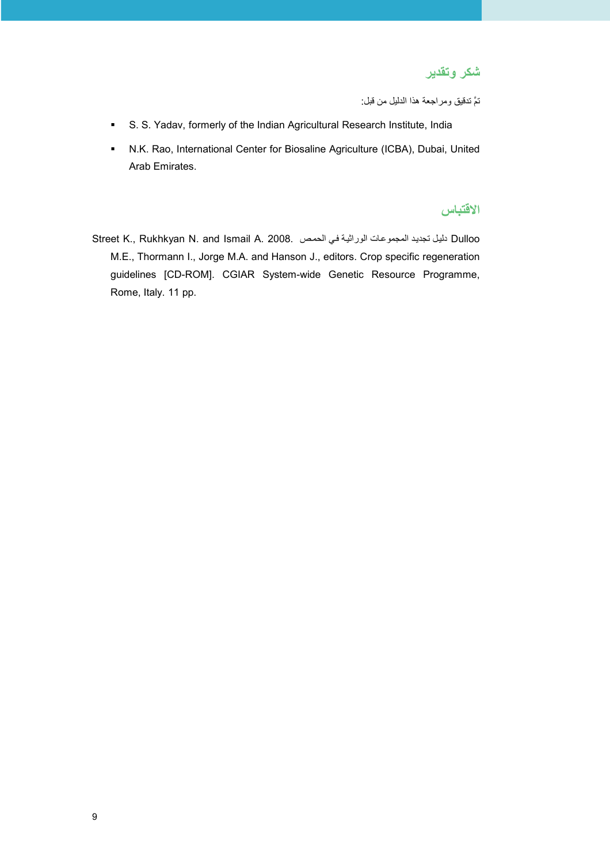شكر وتقدير

تمَّ تدقيق ومراجعة هذا الدليل من قبل:

- S. S. Yadav, formerly of the Indian Agricultural Research Institute, India
- N.K. Rao, International Center for Biosaline Agriculture (ICBA), Dubai, United Arab Emirates.

# الاقتباس

Street K., Rukhkyan N. and Ismail A. 2008. المجموعات الوراثية في الحمص Street K., Rukhkyan N. and Ismail A. 2008. M.E., Thormann I., Jorge M.A. and Hanson J., editors. Crop specific regeneration guidelines [CD-ROM]. CGIAR System-wide Genetic Resource Programme, Rome, Italy. 11 pp.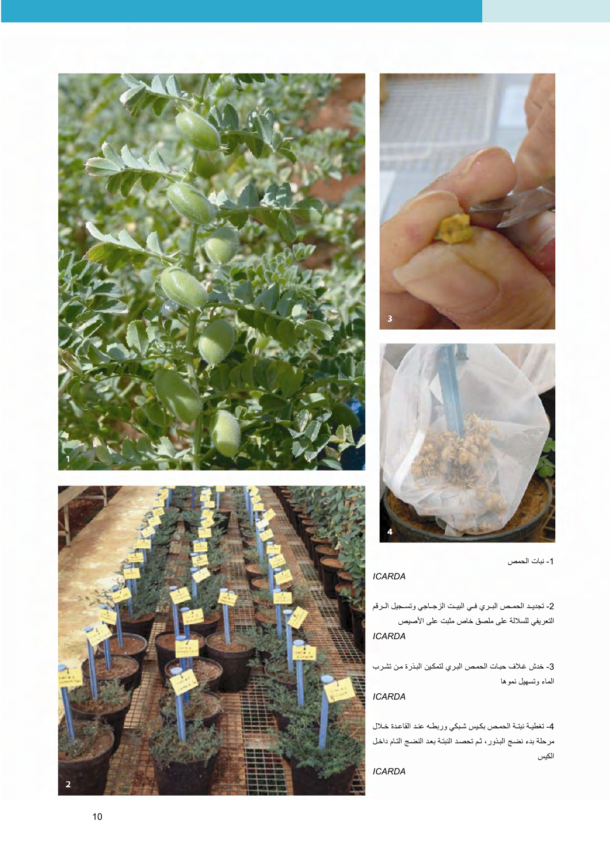







1- نبات الحمص

## **ICARDA**

2- تجديد الحمـص البـري فـي البيـت الزجــاجي وتسـجيل الـرقم التعريفي للسلالة على ملصق خاص مثبت على الأصيص **ICARDA** 

3- خدش غلاف حبات الحمص البري لتمكين البذرة من تشرب الماء وتسهيل نموها

## **ICARDA**

4- تغطية نبتة الحمص بكيس شبكي وربطه عند القاعدة خلال مرحلة بدء نضج البذور، ثم تحصد النبتة بعد النضج التام داخل الكبس

**ICARDA**